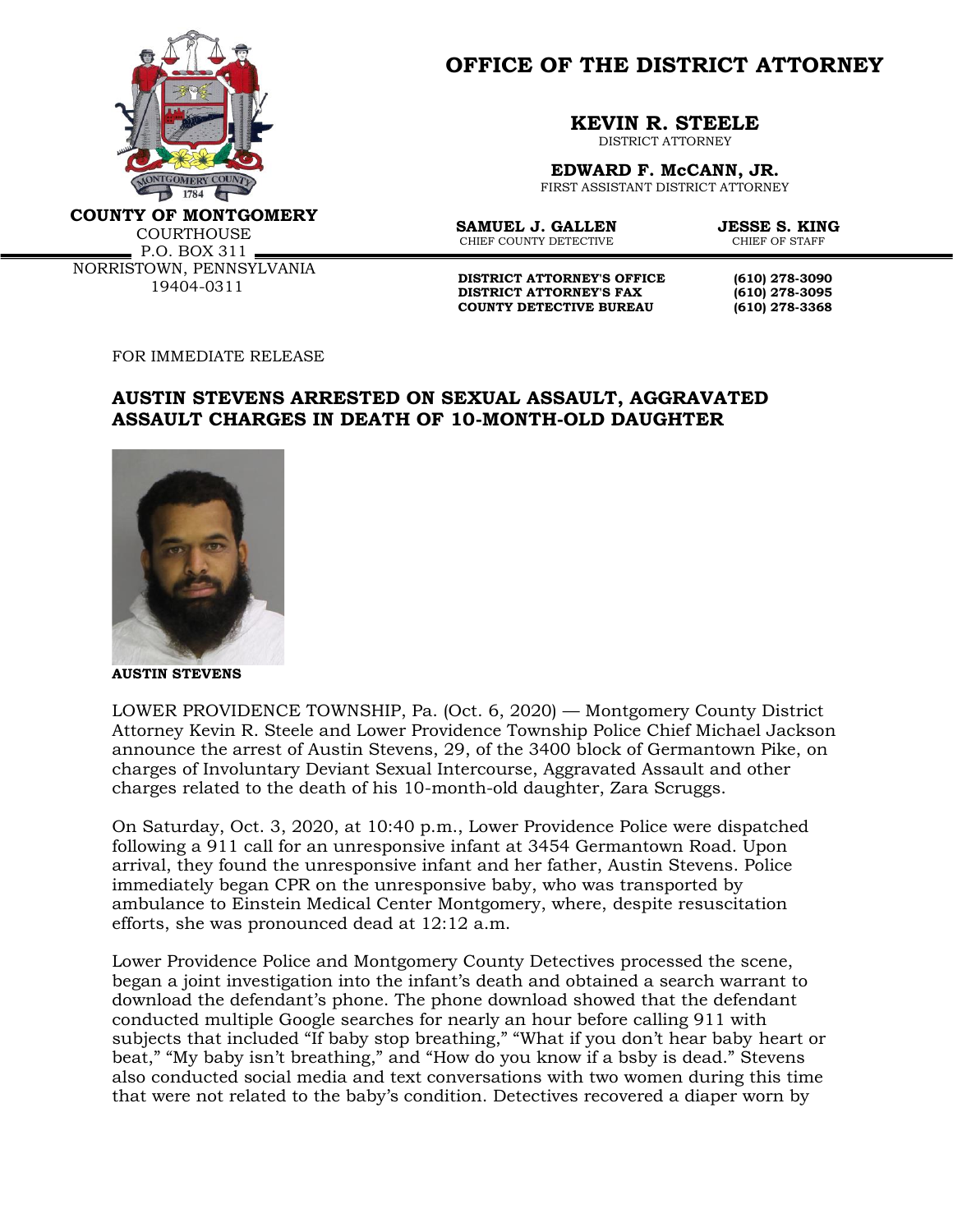

**OFFICE OF THE DISTRICT ATTORNEY**

**KEVIN R. STEELE**

DISTRICT ATTORNEY

**EDWARD F. McCANN, JR.** FIRST ASSISTANT DISTRICT ATTORNEY

**COUNTY OF MONTGOMERY**

**COURTHOUSE**  $P.0. BOX 311 -$ NORRISTOWN, PENNSYLVANIA 19404-0311

**SAMUEL J. GALLEN JESSE S. KING**<br>CHIEF COUNTY DETECTIVE CHIEF OF STAFF CHIEF COUNTY DETECTIVE

**DISTRICT ATTORNEY'S OFFICE** (610) 278-3090<br>DISTRICT ATTORNEY'S FAX (610) 278-3095 **DISTRICT ATTORNEY'S FAX (610) 278-3095 COUNTY DETECTIVE BUREAU (610) 278-3368**

FOR IMMEDIATE RELEASE

## **AUSTIN STEVENS ARRESTED ON SEXUAL ASSAULT, AGGRAVATED ASSAULT CHARGES IN DEATH OF 10-MONTH-OLD DAUGHTER**



**AUSTIN STEVENS**

LOWER PROVIDENCE TOWNSHIP, Pa. (Oct. 6, 2020) — Montgomery County District Attorney Kevin R. Steele and Lower Providence Township Police Chief Michael Jackson announce the arrest of Austin Stevens, 29, of the 3400 block of Germantown Pike, on charges of Involuntary Deviant Sexual Intercourse, Aggravated Assault and other charges related to the death of his 10-month-old daughter, Zara Scruggs.

On Saturday, Oct. 3, 2020, at 10:40 p.m., Lower Providence Police were dispatched following a 911 call for an unresponsive infant at 3454 Germantown Road. Upon arrival, they found the unresponsive infant and her father, Austin Stevens. Police immediately began CPR on the unresponsive baby, who was transported by ambulance to Einstein Medical Center Montgomery, where, despite resuscitation efforts, she was pronounced dead at 12:12 a.m.

Lower Providence Police and Montgomery County Detectives processed the scene, began a joint investigation into the infant's death and obtained a search warrant to download the defendant's phone. The phone download showed that the defendant conducted multiple Google searches for nearly an hour before calling 911 with subjects that included "If baby stop breathing," "What if you don't hear baby heart or beat," "My baby isn't breathing," and "How do you know if a bsby is dead." Stevens also conducted social media and text conversations with two women during this time that were not related to the baby's condition. Detectives recovered a diaper worn by